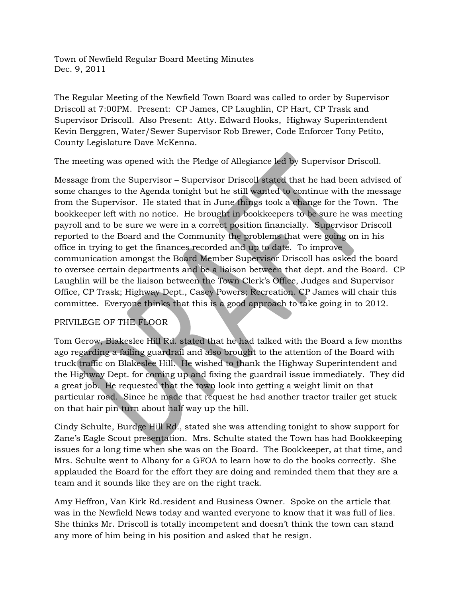Town of Newfield Regular Board Meeting Minutes Dec. 9, 2011

The Regular Meeting of the Newfield Town Board was called to order by Supervisor Driscoll at 7:00PM. Present: CP James, CP Laughlin, CP Hart, CP Trask and Supervisor Driscoll. Also Present: Atty. Edward Hooks, Highway Superintendent Kevin Berggren, Water/Sewer Supervisor Rob Brewer, Code Enforcer Tony Petito, County Legislature Dave McKenna.

The meeting was opened with the Pledge of Allegiance led by Supervisor Driscoll.

Message from the Supervisor – Supervisor Driscoll stated that he had been advised of some changes to the Agenda tonight but he still wanted to continue with the message from the Supervisor. He stated that in June things took a change for the Town. The bookkeeper left with no notice. He brought in bookkeepers to be sure he was meeting payroll and to be sure we were in a correct position financially. Supervisor Driscoll reported to the Board and the Community the problems that were going on in his office in trying to get the finances recorded and up to date. To improve communication amongst the Board Member Supervisor Driscoll has asked the board to oversee certain departments and be a liaison between that dept. and the Board. CP Laughlin will be the liaison between the Town Clerk's Office, Judges and Supervisor Office, CP Trask; Highway Dept., Casey Powers; Recreation. CP James will chair this committee. Everyone thinks that this is a good approach to take going in to 2012.

## PRIVILEGE OF THE FLOOR

Tom Gerow, Blakeslee Hill Rd. stated that he had talked with the Board a few months ago regarding a failing guardrail and also brought to the attention of the Board with truck traffic on Blakeslee Hill. He wished to thank the Highway Superintendent and the Highway Dept. for coming up and fixing the guardrail issue immediately. They did a great job. He requested that the town look into getting a weight limit on that particular road. Since he made that request he had another tractor trailer get stuck on that hair pin turn about half way up the hill.

Cindy Schulte, Burdge Hill Rd., stated she was attending tonight to show support for Zane's Eagle Scout presentation. Mrs. Schulte stated the Town has had Bookkeeping issues for a long time when she was on the Board. The Bookkeeper, at that time, and Mrs. Schulte went to Albany for a GFOA to learn how to do the books correctly. She applauded the Board for the effort they are doing and reminded them that they are a team and it sounds like they are on the right track.

Amy Heffron, Van Kirk Rd.resident and Business Owner. Spoke on the article that was in the Newfield News today and wanted everyone to know that it was full of lies. She thinks Mr. Driscoll is totally incompetent and doesn't think the town can stand any more of him being in his position and asked that he resign.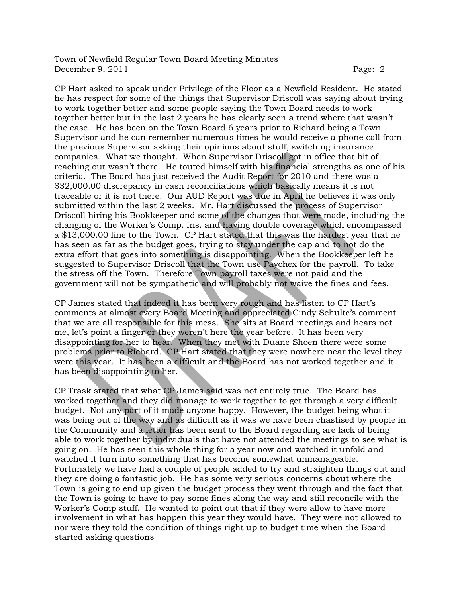CP Hart asked to speak under Privilege of the Floor as a Newfield Resident. He stated he has respect for some of the things that Supervisor Driscoll was saying about trying to work together better and some people saying the Town Board needs to work together better but in the last 2 years he has clearly seen a trend where that wasn't the case. He has been on the Town Board 6 years prior to Richard being a Town Supervisor and he can remember numerous times he would receive a phone call from the previous Supervisor asking their opinions about stuff, switching insurance companies. What we thought. When Supervisor Driscoll got in office that bit of reaching out wasn't there. He touted himself with his financial strengths as one of his criteria. The Board has just received the Audit Report for 2010 and there was a \$32,000.00 discrepancy in cash reconciliations which basically means it is not traceable or it is not there. Our AUD Report was due in April he believes it was only submitted within the last 2 weeks. Mr. Hart discussed the process of Supervisor Driscoll hiring his Bookkeeper and some of the changes that were made, including the changing of the Worker's Comp. Ins. and having double coverage which encompassed a \$13,000.00 fine to the Town. CP Hart stated that this was the hardest year that he has seen as far as the budget goes, trying to stay under the cap and to not do the extra effort that goes into something is disappointing. When the Bookkeeper left he suggested to Supervisor Driscoll that the Town use Paychex for the payroll. To take the stress off the Town. Therefore Town payroll taxes were not paid and the government will not be sympathetic and will probably not waive the fines and fees.

CP James stated that indeed it has been very rough and has listen to CP Hart's comments at almost every Board Meeting and appreciated Cindy Schulte's comment that we are all responsible for this mess. She sits at Board meetings and hears not me, let's point a finger or they weren't here the year before. It has been very disappointing for her to hear. When they met with Duane Shoen there were some problems prior to Richard. CP Hart stated that they were nowhere near the level they were this year. It has been a difficult and the Board has not worked together and it has been disappointing to her.

CP Trask stated that what CP James said was not entirely true. The Board has worked together and they did manage to work together to get through a very difficult budget. Not any part of it made anyone happy. However, the budget being what it was being out of the way and as difficult as it was we have been chastised by people in the Community and a letter has been sent to the Board regarding are lack of being able to work together by individuals that have not attended the meetings to see what is going on. He has seen this whole thing for a year now and watched it unfold and watched it turn into something that has become somewhat unmanageable. Fortunately we have had a couple of people added to try and straighten things out and they are doing a fantastic job. He has some very serious concerns about where the Town is going to end up given the budget process they went through and the fact that the Town is going to have to pay some fines along the way and still reconcile with the Worker's Comp stuff. He wanted to point out that if they were allow to have more involvement in what has happen this year they would have. They were not allowed to nor were they told the condition of things right up to budget time when the Board started asking questions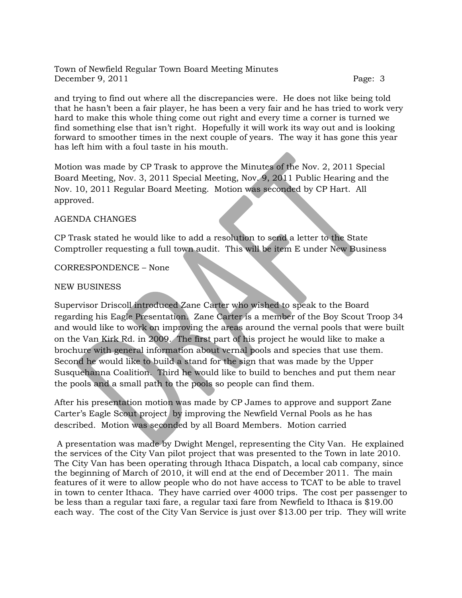and trying to find out where all the discrepancies were. He does not like being told that he hasn't been a fair player, he has been a very fair and he has tried to work very hard to make this whole thing come out right and every time a corner is turned we find something else that isn't right. Hopefully it will work its way out and is looking forward to smoother times in the next couple of years. The way it has gone this year has left him with a foul taste in his mouth.

Motion was made by CP Trask to approve the Minutes of the Nov. 2, 2011 Special Board Meeting, Nov. 3, 2011 Special Meeting, Nov. 9, 2011 Public Hearing and the Nov. 10, 2011 Regular Board Meeting. Motion was seconded by CP Hart. All approved.

## AGENDA CHANGES

CP Trask stated he would like to add a resolution to send a letter to the State Comptroller requesting a full town audit. This will be item E under New Business

## CORRESPONDENCE – None

## NEW BUSINESS

Supervisor Driscoll introduced Zane Carter who wished to speak to the Board regarding his Eagle Presentation. Zane Carter is a member of the Boy Scout Troop 34 and would like to work on improving the areas around the vernal pools that were built on the Van Kirk Rd. in 2009. The first part of his project he would like to make a brochure with general information about vernal pools and species that use them. Second he would like to build a stand for the sign that was made by the Upper Susquehanna Coalition. Third he would like to build to benches and put them near the pools and a small path to the pools so people can find them.

After his presentation motion was made by CP James to approve and support Zane Carter's Eagle Scout project by improving the Newfield Vernal Pools as he has described. Motion was seconded by all Board Members. Motion carried

A presentation was made by Dwight Mengel, representing the City Van. He explained the services of the City Van pilot project that was presented to the Town in late 2010. The City Van has been operating through Ithaca Dispatch, a local cab company, since the beginning of March of 2010, it will end at the end of December 2011. The main features of it were to allow people who do not have access to TCAT to be able to travel in town to center Ithaca. They have carried over 4000 trips. The cost per passenger to be less than a regular taxi fare, a regular taxi fare from Newfield to Ithaca is \$19.00 each way. The cost of the City Van Service is just over \$13.00 per trip. They will write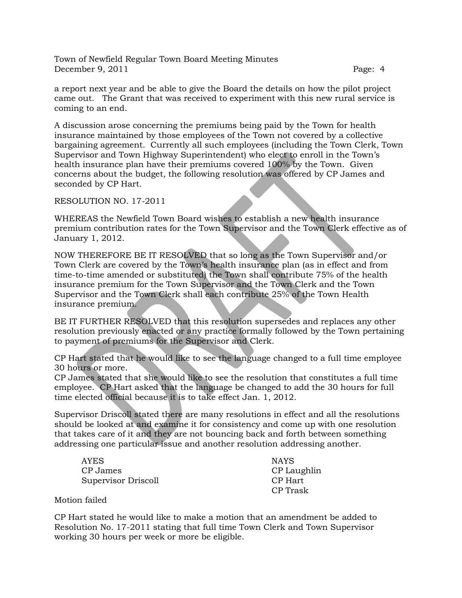a report next year and be able to give the Board the details on how the pilot project came out. The Grant that was received to experiment with this new rural service is coming to an end.

A discussion arose concerning the premiums being paid by the Town for health insurance maintained by those employees of the Town not covered by a collective bargaining agreement. Currently all such employees (including the Town Clerk, Town Supervisor and Town Highway Superintendent) who elect to enroll in the Town's health insurance plan have their premiums covered 100% by the Town. Given concerns about the budget, the following resolution was offered by CP James and seconded by CP Hart.

RESOLUTION NO. 17-2011

WHEREAS the Newfield Town Board wishes to establish a new health insurance premium contribution rates for the Town Supervisor and the Town Clerk effective as of January 1, 2012.

NOW THEREFORE BE IT RESOLVED that so long as the Town Supervisor and/or Town Clerk are covered by the Town's health insurance plan (as in effect and from time-to-time amended or substituted) the Town shall contribute 75% of the health insurance premium for the Town Supervisor and the Town Clerk and the Town Supervisor and the Town Clerk shall each contribute 25% of the Town Health insurance premium.

BE IT FURTHER RESOLVED that this resolution supersedes and replaces any other resolution previously enacted or any practice formally followed by the Town pertaining to payment of premiums for the Supervisor and Clerk.

CP Hart stated that he would like to see the language changed to a full time employee 30 hours or more.

CP James stated that she would like to see the resolution that constitutes a full time employee. CP Hart asked that the language be changed to add the 30 hours for full time elected official because it is to take effect Jan. 1, 2012.

Supervisor Driscoll stated there are many resolutions in effect and all the resolutions should be looked at and examine it for consistency and come up with one resolution that takes care of it and they are not bouncing back and forth between something addressing one particular issue and another resolution addressing another.

| <b>AYES</b>         | <b>NAYS</b> |
|---------------------|-------------|
| CP James            | CP Laughlin |
| Supervisor Driscoll | CP Hart     |
|                     | CP Trask    |

Motion failed

CP Hart stated he would like to make a motion that an amendment be added to Resolution No. 17-2011 stating that full time Town Clerk and Town Supervisor working 30 hours per week or more be eligible.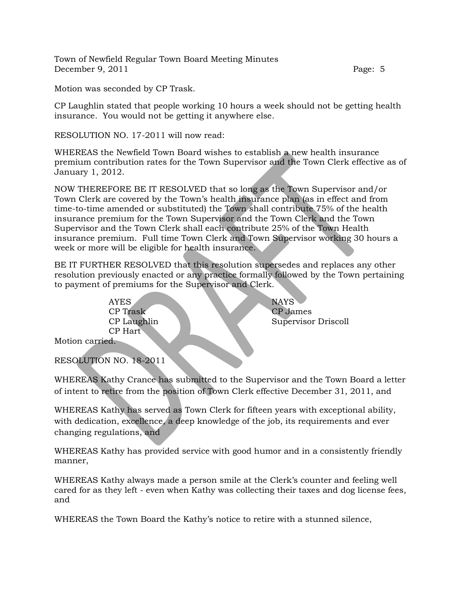Motion was seconded by CP Trask.

CP Laughlin stated that people working 10 hours a week should not be getting health insurance. You would not be getting it anywhere else.

RESOLUTION NO. 17-2011 will now read:

WHEREAS the Newfield Town Board wishes to establish a new health insurance premium contribution rates for the Town Supervisor and the Town Clerk effective as of January 1, 2012.

NOW THEREFORE BE IT RESOLVED that so long as the Town Supervisor and/or Town Clerk are covered by the Town's health insurance plan (as in effect and from time-to-time amended or substituted) the Town shall contribute 75% of the health insurance premium for the Town Supervisor and the Town Clerk and the Town Supervisor and the Town Clerk shall each contribute 25% of the Town Health insurance premium. Full time Town Clerk and Town Supervisor working 30 hours a week or more will be eligible for health insurance.

BE IT FURTHER RESOLVED that this resolution supersedes and replaces any other resolution previously enacted or any practice formally followed by the Town pertaining to payment of premiums for the Supervisor and Clerk.

> AYES NAYS CP Trask CP James CP Hart

CP Laughlin Supervisor Driscoll

Motion carried.

RESOLUTION NO. 18-2011

WHEREAS Kathy Crance has submitted to the Supervisor and the Town Board a letter of intent to retire from the position of Town Clerk effective December 31, 2011, and

WHEREAS Kathy has served as Town Clerk for fifteen years with exceptional ability, with dedication, excellence, a deep knowledge of the job, its requirements and ever changing regulations, and

WHEREAS Kathy has provided service with good humor and in a consistently friendly manner,

WHEREAS Kathy always made a person smile at the Clerk's counter and feeling well cared for as they left - even when Kathy was collecting their taxes and dog license fees, and

WHEREAS the Town Board the Kathy's notice to retire with a stunned silence,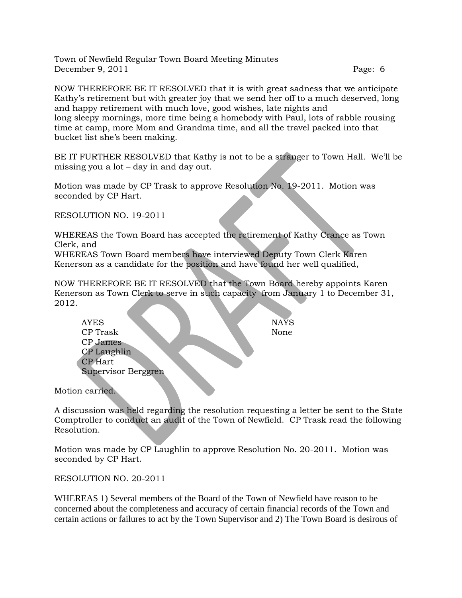NOW THEREFORE BE IT RESOLVED that it is with great sadness that we anticipate Kathy's retirement but with greater joy that we send her off to a much deserved, long and happy retirement with much love, good wishes, late nights and long sleepy mornings, more time being a homebody with Paul, lots of rabble rousing time at camp, more Mom and Grandma time, and all the travel packed into that bucket list she's been making.

BE IT FURTHER RESOLVED that Kathy is not to be a stranger to Town Hall. We'll be missing you a lot – day in and day out.

Motion was made by CP Trask to approve Resolution No. 19-2011. Motion was seconded by CP Hart.

RESOLUTION NO. 19-2011

WHEREAS the Town Board has accepted the retirement of Kathy Crance as Town Clerk, and

WHEREAS Town Board members have interviewed Deputy Town Clerk Karen Kenerson as a candidate for the position and have found her well qualified,

NOW THEREFORE BE IT RESOLVED that the Town Board hereby appoints Karen Kenerson as Town Clerk to serve in such capacity from January 1 to December 31, 2012.

| <b>NAYS</b><br><b>AYES</b> |  |
|----------------------------|--|
| CP Trask<br>None           |  |
| CP James                   |  |
| CP Laughlin                |  |
| <b>CP</b> Hart             |  |
| Supervisor Berggren        |  |
|                            |  |

Motion carried.

Ć

A discussion was held regarding the resolution requesting a letter be sent to the State Comptroller to conduct an audit of the Town of Newfield. CP Trask read the following Resolution.

Motion was made by CP Laughlin to approve Resolution No. 20-2011. Motion was seconded by CP Hart.

RESOLUTION NO. 20-2011

WHEREAS 1) Several members of the Board of the Town of Newfield have reason to be concerned about the completeness and accuracy of certain financial records of the Town and certain actions or failures to act by the Town Supervisor and 2) The Town Board is desirous of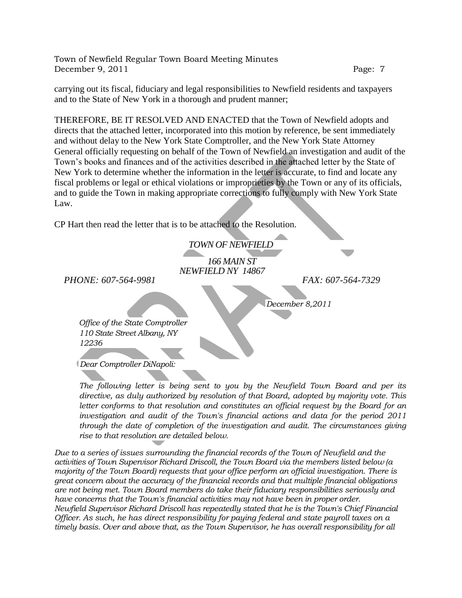carrying out its fiscal, fiduciary and legal responsibilities to Newfield residents and taxpayers and to the State of New York in a thorough and prudent manner;

THEREFORE, BE IT RESOLVED AND ENACTED that the Town of Newfield adopts and directs that the attached letter, incorporated into this motion by reference, be sent immediately and without delay to the New York State Comptroller, and the New York State Attorney General officially requesting on behalf of the Town of Newfield an investigation and audit of the Town's books and finances and of the activities described in the attached letter by the State of New York to determine whether the information in the letter is accurate, to find and locate any fiscal problems or legal or ethical violations or improprieties by the Town or any of its officials, and to guide the Town in making appropriate corrections to fully comply with New York State Law.

CP Hart then read the letter that is to be attached to the Resolution.

*TOWN OF NEWFIELD 166 MAIN ST*

*NEWFIELD NY 14867*

*PHONE: 607-564-9981 FAX: 607-564-7329*

*December 8,2011*

*Office of the State Comptroller 110 State Street Albany, NY 12236*

*Dear Comptroller DiNapoli:*

*The following letter is being sent to you by the Newfield Town Board and per its directive, as duly authorized by resolution of that Board, adopted by majority vote. This*  letter conforms to that resolution and constitutes an official request by the Board for an *investigation and audit of the Town's financial actions and data for the period 2011 through the date of completion of the investigation and audit. The circumstances giving rise to that resolution are detailed below.*

*Due to a series of issues surrounding the financial records of the Town of Newfield and the activities of Town Supervisor Richard Driscoll, the Town Board via the members listed below (a majority of the Town Board) requests that your office perform an official investigation. There is great concern about the accuracy of the financial records and that multiple financial obligations are not being met. Town Board members do take their fiduciary responsibilities seriously and have concerns that the Town's financial activities may not have been in proper order. Newfield Supervisor Richard Driscoll has repeatedly stated that he is the Town's Chief Financial Officer. As such, he has direct responsibility for paying federal and state payroll taxes on a timely basis. Over and above that, as the Town Supervisor, he has overall responsibility for all*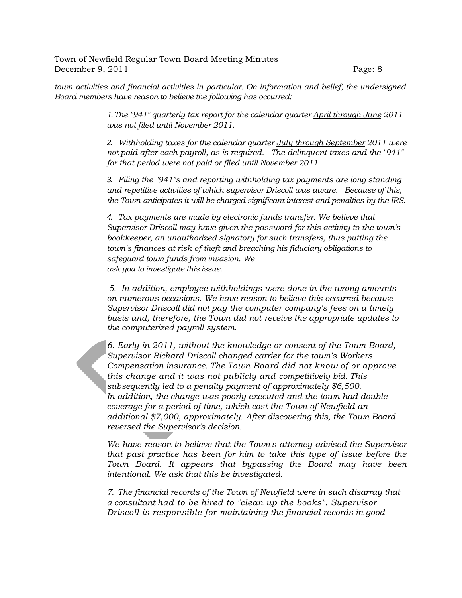*town activities and financial activities in particular. On information and belief, the undersigned Board members have reason to believe the following has occurred:*

> *1.The "941" quarterly tax report for the calendar quarter April through June 2011 was not filed until November 2011.*

*2. Withholding taxes for the calendar quarter July through September 2011 were not paid after each payroll, as is required. The delinquent taxes and the "941" for that period were not paid or filed until November 2011.*

*3. Filing the "941"s and reporting withholding tax payments are long standing and repetitive activities of which supervisor Driscoll was aware. Because of this, the Town anticipates it will be charged significant interest and penalties by the IRS.*

*4. Tax payments are made by electronic funds transfer. We believe that Supervisor Driscoll may have given the password for this activity to the town's bookkeeper, an unauthorized signatory for such transfers, thus putting the town's finances at risk of theft and breaching his fiduciary obligations to safeguard town funds from invasion. We ask you to investigate this issue.*

*5. In addition, employee withholdings were done in the wrong amounts on numerous occasions. We have reason to believe this occurred because Supervisor Driscoll did not pay the computer company's fees on a timely basis and, therefore, the Town did not receive the appropriate updates to the computerized payroll system.*

*6. Early in 2011, without the knowledge or consent of the Town Board, Supervisor Richard Driscoll changed carrier for the town's Workers Compensation insurance. The Town Board did not know of or approve this change and it was not publicly and competitively bid. This subsequently led to a penalty payment of approximately \$6,500. In addition, the change was poorly executed and the town had double coverage for a period of time, which cost the Town of Newfield an additional \$7,000, approximately. After discovering this, the Town Board reversed the Supervisor's decision.* 

*We have reason to believe that the Town's attorney advised the Supervisor that past practice has been for him to take this type of issue before the Town Board. It appears that bypassing the Board may have been intentional. We ask that this be investigated.*

*7. The financial records of the Town of Newfield were in such disarray that a consultant had to be hired to "clean up the books". Supervisor Driscoll is responsible for maintaining the financial records in good*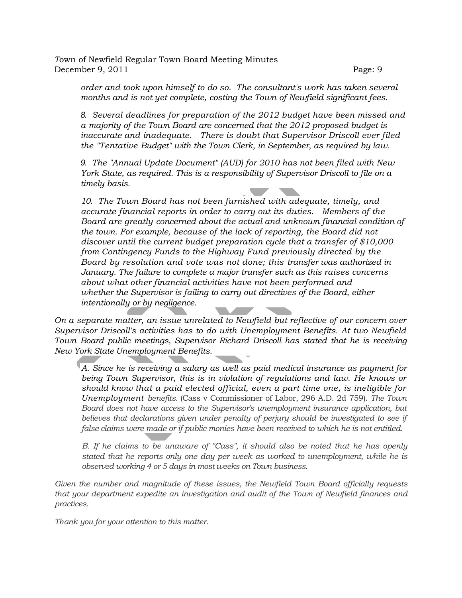*order and took upon himself to do so. The consultant's work has taken several months and is not yet complete, costing the Town of Newfield significant fees.*

*8. Several deadlines for preparation of the 2012 budget have been missed and a majority of the Town Board are concerned that the 2012 proposed budget is inaccurate and inadequate. There is doubt that Supervisor Driscoll ever filed the "Tentative Budget" with the Town Clerk, in September, as required by law.*

*9. The "Annual Update Document" (AUD) for 2010 has not been filed with New York State, as required. This is a responsibility of Supervisor Driscoll to file on a timely basis.*

*10. The Town Board has not been furnished with adequate, timely, and accurate financial reports in order to carry out its duties. Members of the Board are greatly concerned about the actual and unknown financial condition of the town. For example, because of the lack of reporting, the Board did not discover until the current budget preparation cycle that a transfer of \$10,000 from Contingency Funds to the Highway Fund previously directed by the Board by resolution and vote was not done; this transfer was authorized in January. The failure to complete a major transfer such as this raises concerns about what other financial activities have not been performed and whether the Supervisor is failing to carry out directives of the Board, either intentionally or by negligence.*

*On a separate matter, an issue unrelated to Newfield but reflective of our concern over Supervisor Driscoll's activities has to do with Unemployment Benefits. At two Newfield Town Board public meetings, Supervisor Richard Driscoll has stated that he is receiving New York State Unemployment Benefits.*

*A. Since he is receiving a salary as well as paid medical insurance as payment for being Town Supervisor, this is in violation of regulations and law. He knows or should know that a paid elected official, even a part time one, is ineligible for Unemployment benefits.* (Cass v Commissioner of Labor, 296 A.D. 2d 759). *The Town Board does not have access to the Supervisor's unemployment insurance application, but believes that declarations given under penalty of perjury should be investigated to see if false claims were made or if public monies have been received to which he is not entitled.*

*B. If he claims to be unaware of "Cass", it should also be noted that he has openly stated that he reports only one day per week as worked to unemployment, while he is observed working 4 or 5 days in most weeks on Town business.*

*Given the number and magnitude of these issues, the Newfield Town Board officially requests that your department expedite an investigation and audit of the Town of Newfield finances and practices.*

*Thank you for your attention to this matter.*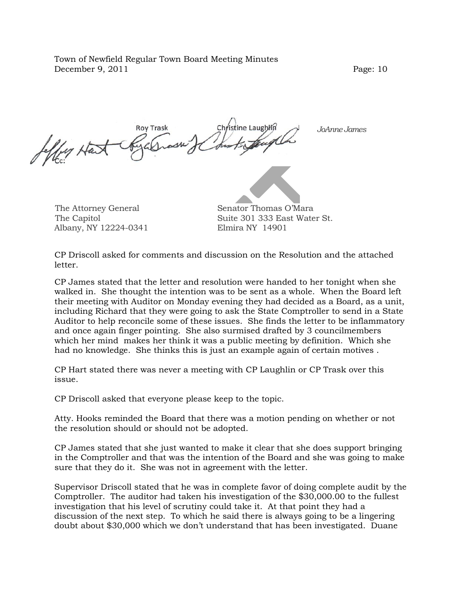*Jeffrey Hart JoAnne James*Leffy Har

Albany, NY 12224-0341 Elmira NY 14901

The Attorney General Senator Thomas O'Mara The Capitol **Suite 301 333 East Water St.** 

CP Driscoll asked for comments and discussion on the Resolution and the attached letter.

CP James stated that the letter and resolution were handed to her tonight when she walked in. She thought the intention was to be sent as a whole. When the Board left their meeting with Auditor on Monday evening they had decided as a Board, as a unit, including Richard that they were going to ask the State Comptroller to send in a State Auditor to help reconcile some of these issues. She finds the letter to be inflammatory and once again finger pointing. She also surmised drafted by 3 councilmembers which her mind makes her think it was a public meeting by definition. Which she had no knowledge. She thinks this is just an example again of certain motives .

CP Hart stated there was never a meeting with CP Laughlin or CP Trask over this issue.

CP Driscoll asked that everyone please keep to the topic.

Atty. Hooks reminded the Board that there was a motion pending on whether or not the resolution should or should not be adopted.

CP James stated that she just wanted to make it clear that she does support bringing in the Comptroller and that was the intention of the Board and she was going to make sure that they do it. She was not in agreement with the letter.

Supervisor Driscoll stated that he was in complete favor of doing complete audit by the Comptroller. The auditor had taken his investigation of the \$30,000.00 to the fullest investigation that his level of scrutiny could take it. At that point they had a discussion of the next step. To which he said there is always going to be a lingering doubt about \$30,000 which we don't understand that has been investigated. Duane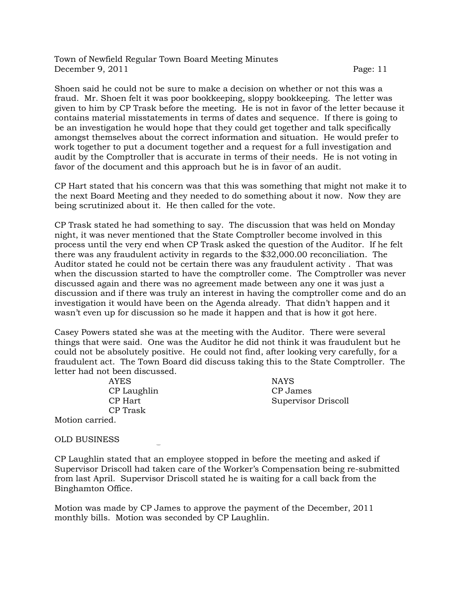Shoen said he could not be sure to make a decision on whether or not this was a fraud. Mr. Shoen felt it was poor bookkeeping, sloppy bookkeeping. The letter was given to him by CP Trask before the meeting. He is not in favor of the letter because it contains material misstatements in terms of dates and sequence. If there is going to be an investigation he would hope that they could get together and talk specifically amongst themselves about the correct information and situation. He would prefer to work together to put a document together and a request for a full investigation and audit by the Comptroller that is accurate in terms of their needs. He is not voting in favor of the document and this approach but he is in favor of an audit.

CP Hart stated that his concern was that this was something that might not make it to the next Board Meeting and they needed to do something about it now. Now they are being scrutinized about it. He then called for the vote.

CP Trask stated he had something to say. The discussion that was held on Monday night, it was never mentioned that the State Comptroller become involved in this process until the very end when CP Trask asked the question of the Auditor. If he felt there was any fraudulent activity in regards to the \$32,000.00 reconciliation. The Auditor stated he could not be certain there was any fraudulent activity . That was when the discussion started to have the comptroller come. The Comptroller was never discussed again and there was no agreement made between any one it was just a discussion and if there was truly an interest in having the comptroller come and do an investigation it would have been on the Agenda already. That didn't happen and it wasn't even up for discussion so he made it happen and that is how it got here.

Casey Powers stated she was at the meeting with the Auditor. There were several things that were said. One was the Auditor he did not think it was fraudulent but he could not be absolutely positive. He could not find, after looking very carefully, for a fraudulent act. The Town Board did discuss taking this to the State Comptroller. The letter had not been discussed.

> AYES NAYS CP Laughlin CP James CP Trask

CP Hart Supervisor Driscoll

Motion carried.

OLD BUSINESS

CP Laughlin stated that an employee stopped in before the meeting and asked if Supervisor Driscoll had taken care of the Worker's Compensation being re-submitted from last April. Supervisor Driscoll stated he is waiting for a call back from the Binghamton Office.

Motion was made by CP James to approve the payment of the December, 2011 monthly bills. Motion was seconded by CP Laughlin.